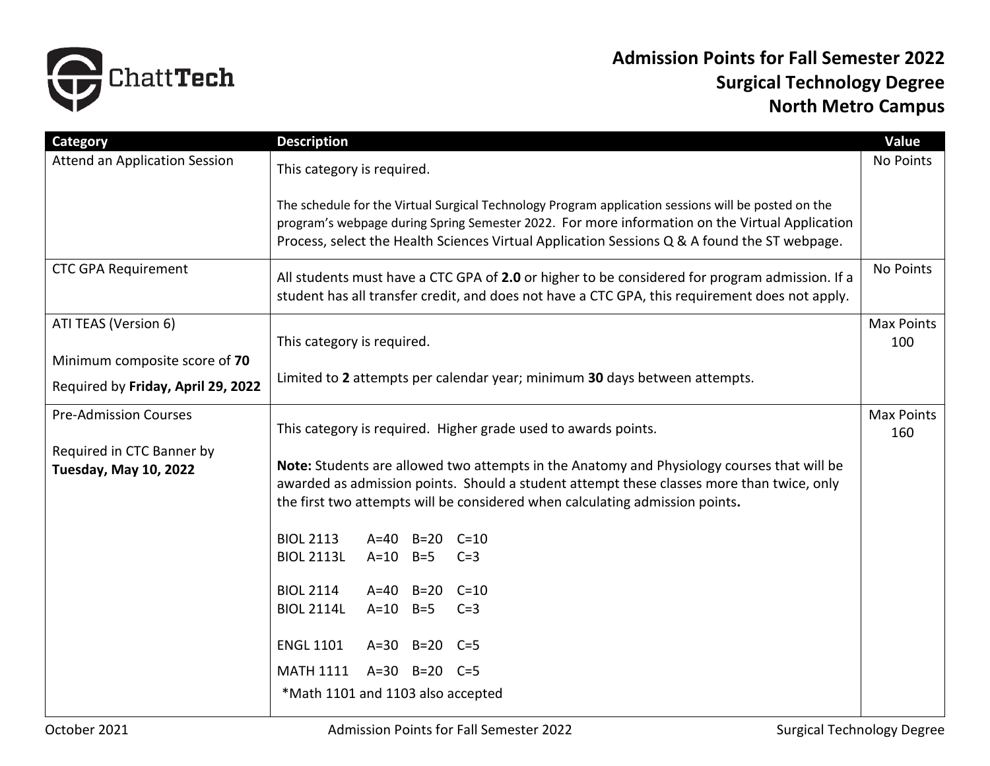

## **Admission Points for Fall Semester 2022 Surgical Technology Degree North Metro Campus**

| Category                                                  | <b>Description</b>                                                                                                                                                                                                                                                                                    | Value                    |
|-----------------------------------------------------------|-------------------------------------------------------------------------------------------------------------------------------------------------------------------------------------------------------------------------------------------------------------------------------------------------------|--------------------------|
| Attend an Application Session                             | This category is required.                                                                                                                                                                                                                                                                            | No Points                |
|                                                           | The schedule for the Virtual Surgical Technology Program application sessions will be posted on the<br>program's webpage during Spring Semester 2022. For more information on the Virtual Application<br>Process, select the Health Sciences Virtual Application Sessions Q & A found the ST webpage. |                          |
| <b>CTC GPA Requirement</b>                                | All students must have a CTC GPA of 2.0 or higher to be considered for program admission. If a<br>student has all transfer credit, and does not have a CTC GPA, this requirement does not apply.                                                                                                      | No Points                |
| ATI TEAS (Version 6)                                      |                                                                                                                                                                                                                                                                                                       | <b>Max Points</b>        |
|                                                           | This category is required.                                                                                                                                                                                                                                                                            | 100                      |
| Minimum composite score of 70                             | Limited to 2 attempts per calendar year; minimum 30 days between attempts.                                                                                                                                                                                                                            |                          |
| Required by Friday, April 29, 2022                        |                                                                                                                                                                                                                                                                                                       |                          |
| <b>Pre-Admission Courses</b>                              | This category is required. Higher grade used to awards points.                                                                                                                                                                                                                                        | <b>Max Points</b><br>160 |
| Required in CTC Banner by<br><b>Tuesday, May 10, 2022</b> | Note: Students are allowed two attempts in the Anatomy and Physiology courses that will be<br>awarded as admission points. Should a student attempt these classes more than twice, only<br>the first two attempts will be considered when calculating admission points.                               |                          |
|                                                           | <b>BIOL 2113</b><br>A=40 B=20 C=10                                                                                                                                                                                                                                                                    |                          |
|                                                           | <b>BIOL 2113L</b><br>$A=10$ $B=5$<br>$C=3$                                                                                                                                                                                                                                                            |                          |
|                                                           |                                                                                                                                                                                                                                                                                                       |                          |
|                                                           | <b>BIOL 2114</b><br>A=40 B=20 C=10<br><b>BIOL 2114L</b><br>$A=10$ $B=5$                                                                                                                                                                                                                               |                          |
|                                                           | $C=3$                                                                                                                                                                                                                                                                                                 |                          |
|                                                           | <b>ENGL 1101</b><br>A=30 B=20 C=5                                                                                                                                                                                                                                                                     |                          |
|                                                           | $A=30$ $B=20$ $C=5$<br><b>MATH 1111</b>                                                                                                                                                                                                                                                               |                          |
|                                                           | *Math 1101 and 1103 also accepted                                                                                                                                                                                                                                                                     |                          |